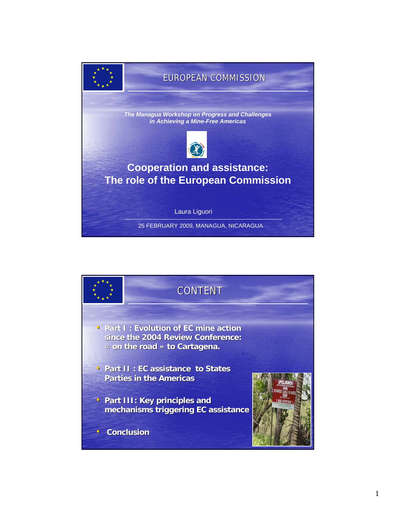

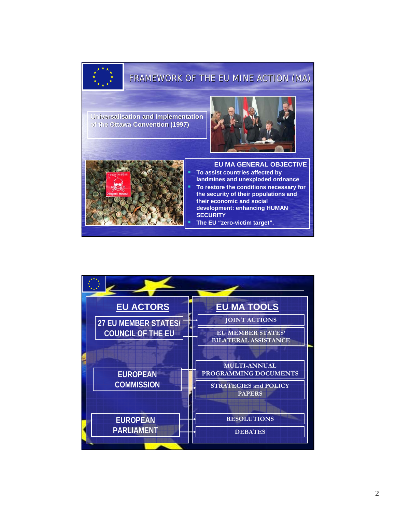## FRAMEWORK OF THE EU MINE ACTION (MA)

**Universalisation and Implementation of the Ottawa Convention (1997) the** 





**EU MA GENERAL OBJECTIVE To assist countries affected by landmines and unexploded ordnance To restore the conditions necessary for the security of their populations and their economic and social development: enhancing HUMAN SECURITY**

**The EU "zero-victim target".**

| <b>EU ACTORS</b>            | <b>EU MA TOOLS</b>                                      |
|-----------------------------|---------------------------------------------------------|
| <b>27 EU MEMBER STATES/</b> | <b>JOINT ACTIONS</b>                                    |
| <b>COUNCIL OF THE EU</b>    | <b>EU MEMBER STATES'</b><br><b>BILATERAL ASSISTANCE</b> |
|                             |                                                         |
|                             | <b>MULTI-ANNUAL</b>                                     |
| <b>EUROPEAN</b>             | PROGRAMMING DOCUMENTS                                   |
| <b>COMMISSION</b>           | <b>STRATEGIES and POLICY</b><br><b>PAPERS</b>           |
|                             |                                                         |
| <b>EUROPEAN</b>             | <b>RESOLUTIONS</b>                                      |
| <b>PARLIAMENT</b>           | <b>DEBATES</b>                                          |
|                             |                                                         |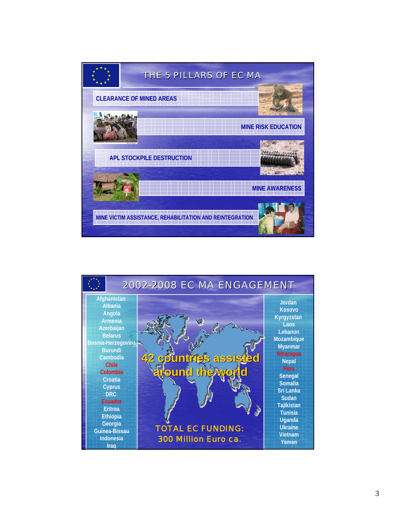

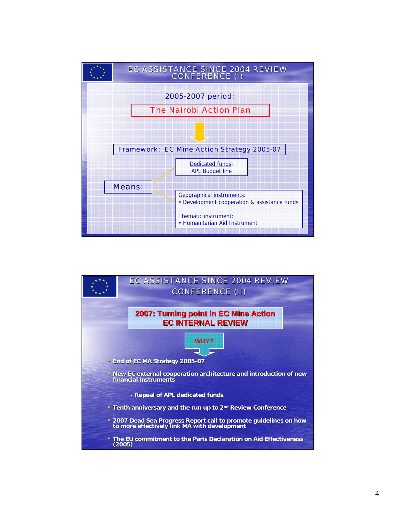

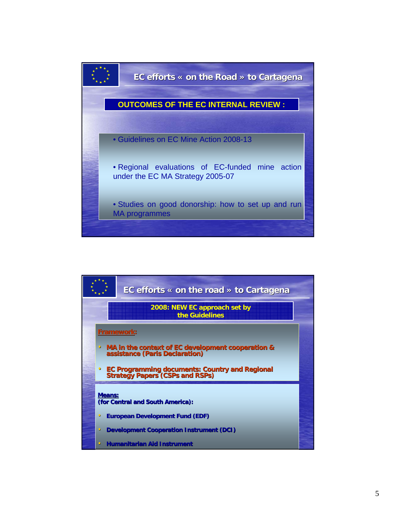

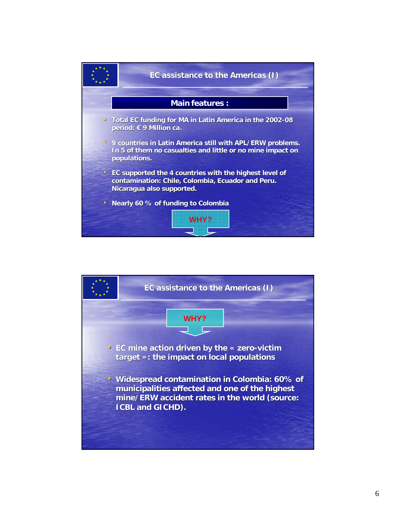

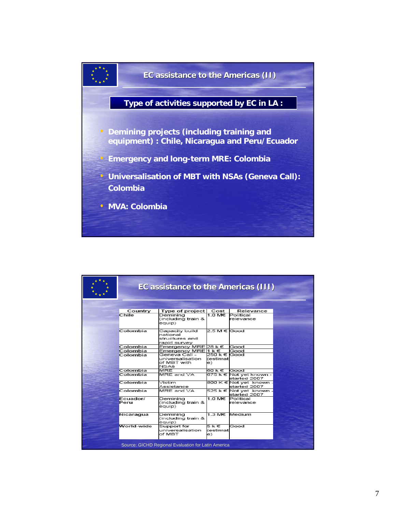

|                                                     | EC assistance to the Americas (III) |                                                                 |                                 |                                         |  |  |
|-----------------------------------------------------|-------------------------------------|-----------------------------------------------------------------|---------------------------------|-----------------------------------------|--|--|
|                                                     |                                     |                                                                 |                                 |                                         |  |  |
|                                                     | Country                             | Type of project                                                 | Cost                            | Relevance                               |  |  |
|                                                     | Chile                               | Deminina<br>(including train &<br>eauip)                        | 1 ∩ М€                          | Political<br>relevance                  |  |  |
|                                                     | Colombia                            | Capacity build<br>national<br>structures and<br>rapid survey    | 2.5 M € Good                    |                                         |  |  |
|                                                     | Colombia                            | Emergency MRE 28 k €                                            |                                 | Good                                    |  |  |
|                                                     | Colombia                            | Emergency MRE 1 k €                                             |                                 | Good                                    |  |  |
|                                                     | Colombia                            | Geneva Call -<br>universalisation<br>of MBT with<br><b>NSAs</b> | 250 k € Good<br>(estimat)<br>еì |                                         |  |  |
|                                                     | Colombia                            | MRF                                                             | 60 k €                          | Good                                    |  |  |
|                                                     | Colombia                            | MRE and VA                                                      |                                 | 675 k € Not yet known -<br>started 2007 |  |  |
|                                                     | Colombia                            | Victim<br>Assistance                                            |                                 | 800 K € Not yet known -<br>started 2007 |  |  |
|                                                     | Colombia                            | MRE and VA                                                      |                                 | 525 k € Not yet known -<br>started 2007 |  |  |
|                                                     | Ecuador/<br>Peru                    | Deminina<br>(including train &<br>equip)                        | 1.0 M€                          | Political<br>relevance                  |  |  |
|                                                     | Nicaragua                           | Deminina<br>(including train &<br>equip)                        | 1.3 M€                          | Medium                                  |  |  |
|                                                     | World-wide                          | Support for<br>universalisation<br>of MBT                       | 5 k €<br>(estimat<br>e)         | Good                                    |  |  |
| Source: GICHD Regional Evaluation for Latin America |                                     |                                                                 |                                 |                                         |  |  |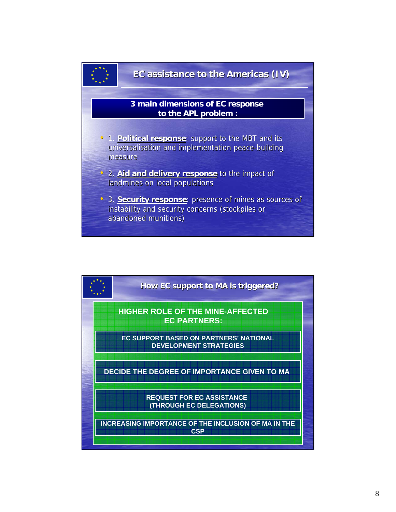